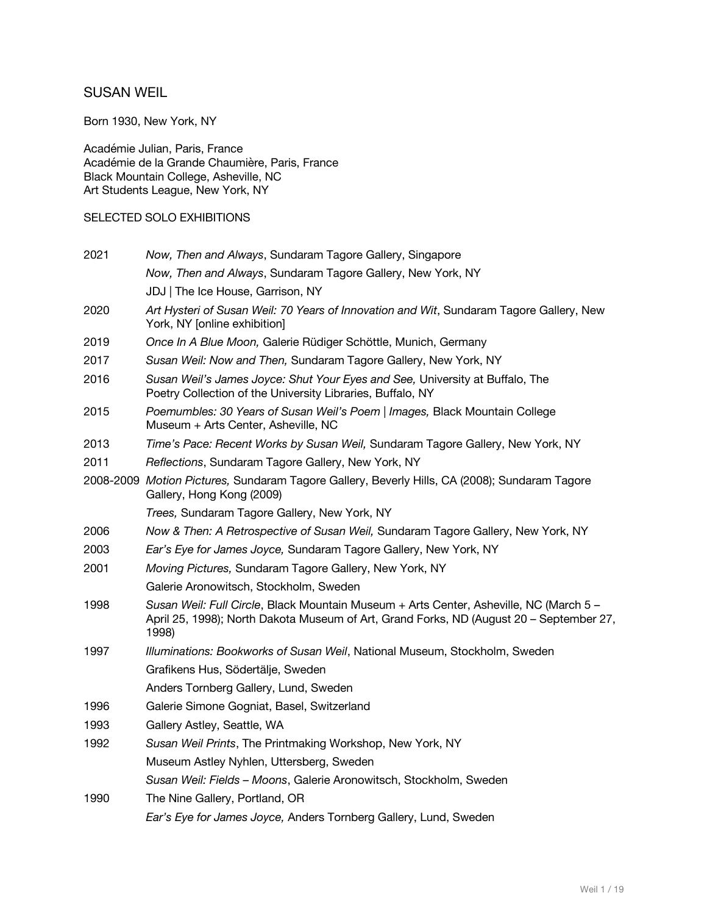# SUSAN WEIL

Born 1930, New York, NY

Académie Julian, Paris, France Académie de la Grande Chaumière, Paris, France Black Mountain College, Asheville, NC Art Students League, New York, NY

### SELECTED SOLO EXHIBITIONS

| Now, Then and Always, Sundaram Tagore Gallery, Singapore                                                                                                                                   |
|--------------------------------------------------------------------------------------------------------------------------------------------------------------------------------------------|
| Now, Then and Always, Sundaram Tagore Gallery, New York, NY                                                                                                                                |
| JDJ   The Ice House, Garrison, NY                                                                                                                                                          |
| Art Hysteri of Susan Weil: 70 Years of Innovation and Wit, Sundaram Tagore Gallery, New<br>York, NY [online exhibition]                                                                    |
| Once In A Blue Moon, Galerie Rüdiger Schöttle, Munich, Germany                                                                                                                             |
| Susan Weil: Now and Then, Sundaram Tagore Gallery, New York, NY                                                                                                                            |
| Susan Weil's James Joyce: Shut Your Eyes and See, University at Buffalo, The<br>Poetry Collection of the University Libraries, Buffalo, NY                                                 |
| Poemumbles: 30 Years of Susan Weil's Poem   Images, Black Mountain College<br>Museum + Arts Center, Asheville, NC                                                                          |
| Time's Pace: Recent Works by Susan Weil, Sundaram Tagore Gallery, New York, NY                                                                                                             |
| Reflections, Sundaram Tagore Gallery, New York, NY                                                                                                                                         |
| 2008-2009 Motion Pictures, Sundaram Tagore Gallery, Beverly Hills, CA (2008); Sundaram Tagore<br>Gallery, Hong Kong (2009)                                                                 |
| Trees, Sundaram Tagore Gallery, New York, NY                                                                                                                                               |
| Now & Then: A Retrospective of Susan Weil, Sundaram Tagore Gallery, New York, NY                                                                                                           |
| Ear's Eye for James Joyce, Sundaram Tagore Gallery, New York, NY                                                                                                                           |
| Moving Pictures, Sundaram Tagore Gallery, New York, NY                                                                                                                                     |
| Galerie Aronowitsch, Stockholm, Sweden                                                                                                                                                     |
| Susan Weil: Full Circle, Black Mountain Museum + Arts Center, Asheville, NC (March 5 -<br>April 25, 1998); North Dakota Museum of Art, Grand Forks, ND (August 20 - September 27,<br>1998) |
| Illuminations: Bookworks of Susan Weil, National Museum, Stockholm, Sweden                                                                                                                 |
| Grafikens Hus, Södertälje, Sweden                                                                                                                                                          |
| Anders Tornberg Gallery, Lund, Sweden                                                                                                                                                      |
| Galerie Simone Gogniat, Basel, Switzerland                                                                                                                                                 |
| Gallery Astley, Seattle, WA                                                                                                                                                                |
| Susan Weil Prints, The Printmaking Workshop, New York, NY                                                                                                                                  |
| Museum Astley Nyhlen, Uttersberg, Sweden                                                                                                                                                   |
| Susan Weil: Fields - Moons, Galerie Aronowitsch, Stockholm, Sweden                                                                                                                         |
| The Nine Gallery, Portland, OR                                                                                                                                                             |
| Ear's Eye for James Joyce, Anders Tornberg Gallery, Lund, Sweden                                                                                                                           |
|                                                                                                                                                                                            |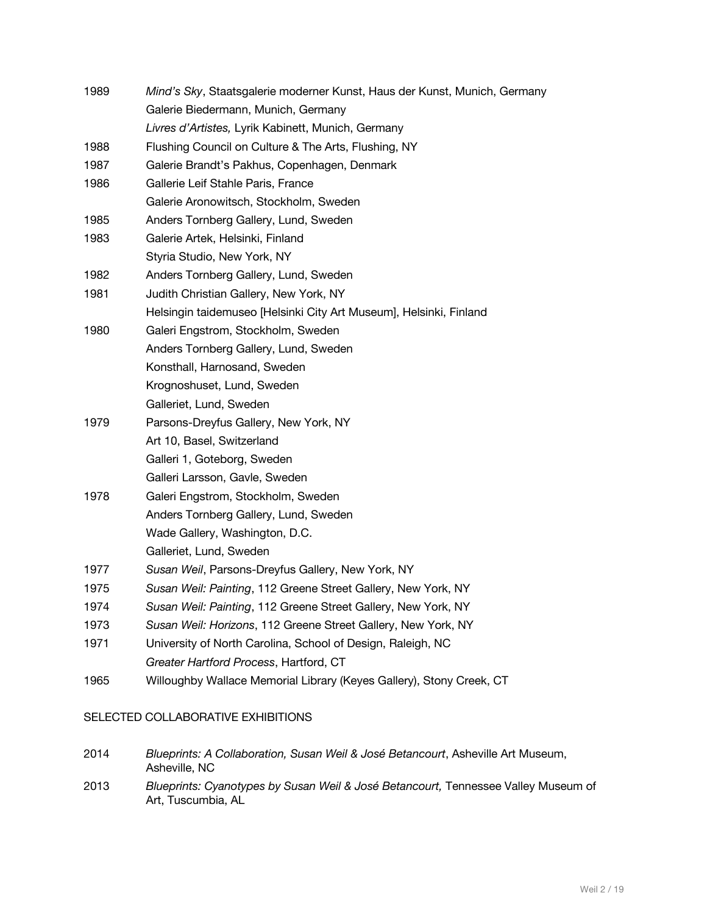| 1989 | Mind's Sky, Staatsgalerie moderner Kunst, Haus der Kunst, Munich, Germany |
|------|---------------------------------------------------------------------------|
|      | Galerie Biedermann, Munich, Germany                                       |
|      | Livres d'Artistes, Lyrik Kabinett, Munich, Germany                        |
| 1988 | Flushing Council on Culture & The Arts, Flushing, NY                      |
| 1987 | Galerie Brandt's Pakhus, Copenhagen, Denmark                              |
| 1986 | Gallerie Leif Stahle Paris, France                                        |
|      | Galerie Aronowitsch, Stockholm, Sweden                                    |
| 1985 | Anders Tornberg Gallery, Lund, Sweden                                     |
| 1983 | Galerie Artek, Helsinki, Finland                                          |
|      | Styria Studio, New York, NY                                               |
| 1982 | Anders Tornberg Gallery, Lund, Sweden                                     |
| 1981 | Judith Christian Gallery, New York, NY                                    |
|      | Helsingin taidemuseo [Helsinki City Art Museum], Helsinki, Finland        |
| 1980 | Galeri Engstrom, Stockholm, Sweden                                        |
|      | Anders Tornberg Gallery, Lund, Sweden                                     |
|      | Konsthall, Harnosand, Sweden                                              |
|      | Krognoshuset, Lund, Sweden                                                |
|      | Galleriet, Lund, Sweden                                                   |
| 1979 | Parsons-Dreyfus Gallery, New York, NY                                     |
|      | Art 10, Basel, Switzerland                                                |
|      | Galleri 1, Goteborg, Sweden                                               |
|      | Galleri Larsson, Gavle, Sweden                                            |
| 1978 | Galeri Engstrom, Stockholm, Sweden                                        |
|      | Anders Tornberg Gallery, Lund, Sweden                                     |
|      | Wade Gallery, Washington, D.C.                                            |
|      | Galleriet, Lund, Sweden                                                   |
| 1977 | Susan Weil, Parsons-Dreyfus Gallery, New York, NY                         |
| 1975 | Susan Weil: Painting, 112 Greene Street Gallery, New York, NY             |
| 1974 | Susan Weil: Painting, 112 Greene Street Gallery, New York, NY             |
| 1973 | Susan Weil: Horizons, 112 Greene Street Gallery, New York, NY             |
| 1971 | University of North Carolina, School of Design, Raleigh, NC               |
|      | Greater Hartford Process, Hartford, CT                                    |
| 1965 | Willoughby Wallace Memorial Library (Keyes Gallery), Stony Creek, CT      |

### SELECTED COLLABORATIVE EXHIBITIONS

| 2014 | Blueprints: A Collaboration, Susan Weil & José Betancourt, Asheville Art Museum, |
|------|----------------------------------------------------------------------------------|
|      | Asheville, NC                                                                    |

2013 *Blueprints: Cyanotypes by Susan Weil & José Betancourt,* Tennessee Valley Museum of Art, Tuscumbia, AL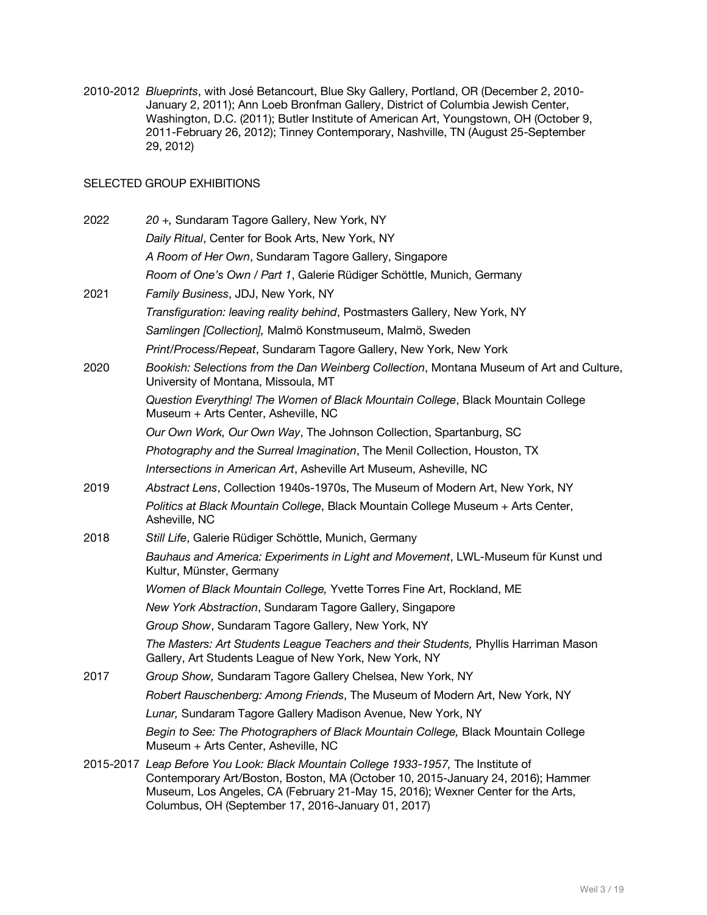2010-2012 *Blueprints*, with José Betancourt, Blue Sky Gallery, Portland, OR (December 2, 2010- January 2, 2011); Ann Loeb Bronfman Gallery, District of Columbia Jewish Center, Washington, D.C. (2011); Butler Institute of American Art, Youngstown, OH (October 9, 2011-February 26, 2012); Tinney Contemporary, Nashville, TN (August 25-September 29, 2012)

#### SELECTED GROUP EXHIBITIONS

| 2022 | 20 +, Sundaram Tagore Gallery, New York, NY                                                                                                                                                                                                                                                                    |
|------|----------------------------------------------------------------------------------------------------------------------------------------------------------------------------------------------------------------------------------------------------------------------------------------------------------------|
|      | Daily Ritual, Center for Book Arts, New York, NY                                                                                                                                                                                                                                                               |
|      | A Room of Her Own, Sundaram Tagore Gallery, Singapore                                                                                                                                                                                                                                                          |
|      | Room of One's Own / Part 1, Galerie Rüdiger Schöttle, Munich, Germany                                                                                                                                                                                                                                          |
| 2021 | Family Business, JDJ, New York, NY                                                                                                                                                                                                                                                                             |
|      | Transfiguration: leaving reality behind, Postmasters Gallery, New York, NY                                                                                                                                                                                                                                     |
|      | Samlingen [Collection], Malmö Konstmuseum, Malmö, Sweden                                                                                                                                                                                                                                                       |
|      | Print/Process/Repeat, Sundaram Tagore Gallery, New York, New York                                                                                                                                                                                                                                              |
| 2020 | Bookish: Selections from the Dan Weinberg Collection, Montana Museum of Art and Culture,<br>University of Montana, Missoula, MT                                                                                                                                                                                |
|      | Question Everything! The Women of Black Mountain College, Black Mountain College<br>Museum + Arts Center, Asheville, NC                                                                                                                                                                                        |
|      | Our Own Work, Our Own Way, The Johnson Collection, Spartanburg, SC                                                                                                                                                                                                                                             |
|      | Photography and the Surreal Imagination, The Menil Collection, Houston, TX                                                                                                                                                                                                                                     |
|      | Intersections in American Art, Asheville Art Museum, Asheville, NC                                                                                                                                                                                                                                             |
| 2019 | Abstract Lens, Collection 1940s-1970s, The Museum of Modern Art, New York, NY                                                                                                                                                                                                                                  |
|      | Politics at Black Mountain College, Black Mountain College Museum + Arts Center,<br>Asheville, NC                                                                                                                                                                                                              |
| 2018 | Still Life, Galerie Rüdiger Schöttle, Munich, Germany                                                                                                                                                                                                                                                          |
|      | Bauhaus and America: Experiments in Light and Movement, LWL-Museum für Kunst und<br>Kultur, Münster, Germany                                                                                                                                                                                                   |
|      | Women of Black Mountain College, Yvette Torres Fine Art, Rockland, ME                                                                                                                                                                                                                                          |
|      | New York Abstraction, Sundaram Tagore Gallery, Singapore                                                                                                                                                                                                                                                       |
|      | Group Show, Sundaram Tagore Gallery, New York, NY                                                                                                                                                                                                                                                              |
|      | The Masters: Art Students League Teachers and their Students, Phyllis Harriman Mason<br>Gallery, Art Students League of New York, New York, NY                                                                                                                                                                 |
| 2017 | Group Show, Sundaram Tagore Gallery Chelsea, New York, NY                                                                                                                                                                                                                                                      |
|      | Robert Rauschenberg: Among Friends, The Museum of Modern Art, New York, NY                                                                                                                                                                                                                                     |
|      | Lunar, Sundaram Tagore Gallery Madison Avenue, New York, NY                                                                                                                                                                                                                                                    |
|      | Begin to See: The Photographers of Black Mountain College, Black Mountain College<br>Museum + Arts Center, Asheville, NC                                                                                                                                                                                       |
|      | 2015-2017 Leap Before You Look: Black Mountain College 1933-1957, The Institute of<br>Contemporary Art/Boston, Boston, MA (October 10, 2015-January 24, 2016); Hammer<br>Museum, Los Angeles, CA (February 21-May 15, 2016); Wexner Center for the Arts,<br>Columbus, OH (September 17, 2016-January 01, 2017) |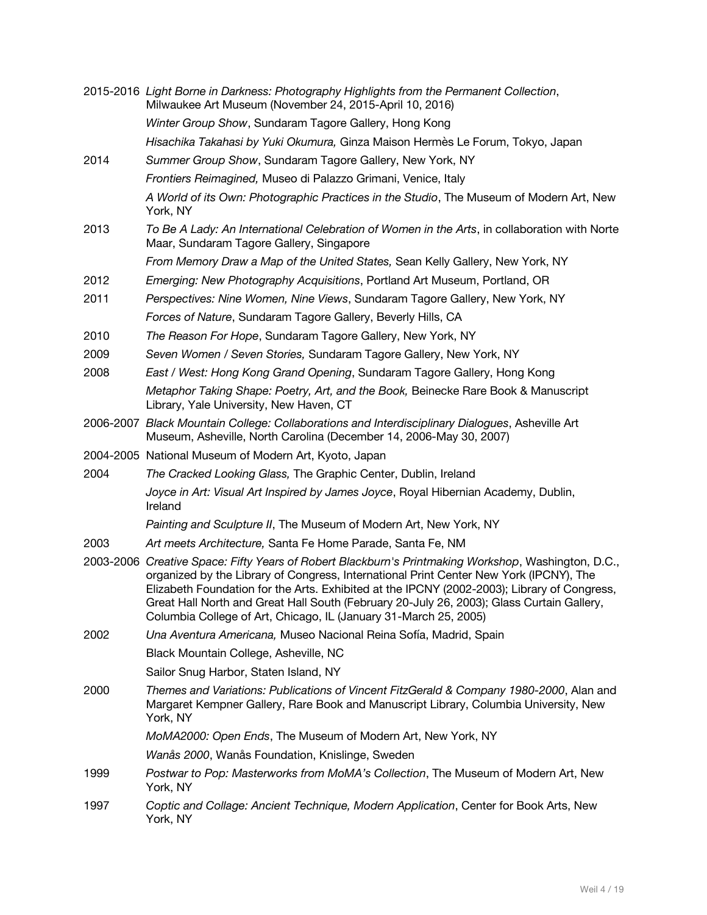|           | 2015-2016 Light Borne in Darkness: Photography Highlights from the Permanent Collection,<br>Milwaukee Art Museum (November 24, 2015-April 10, 2016)                                                                                                                                                                                                                                                                                                           |
|-----------|---------------------------------------------------------------------------------------------------------------------------------------------------------------------------------------------------------------------------------------------------------------------------------------------------------------------------------------------------------------------------------------------------------------------------------------------------------------|
|           | Winter Group Show, Sundaram Tagore Gallery, Hong Kong                                                                                                                                                                                                                                                                                                                                                                                                         |
|           | Hisachika Takahasi by Yuki Okumura, Ginza Maison Hermès Le Forum, Tokyo, Japan                                                                                                                                                                                                                                                                                                                                                                                |
| 2014      | Summer Group Show, Sundaram Tagore Gallery, New York, NY                                                                                                                                                                                                                                                                                                                                                                                                      |
|           | Frontiers Reimagined, Museo di Palazzo Grimani, Venice, Italy                                                                                                                                                                                                                                                                                                                                                                                                 |
|           | A World of its Own: Photographic Practices in the Studio, The Museum of Modern Art, New<br>York, NY                                                                                                                                                                                                                                                                                                                                                           |
| 2013      | To Be A Lady: An International Celebration of Women in the Arts, in collaboration with Norte<br>Maar, Sundaram Tagore Gallery, Singapore                                                                                                                                                                                                                                                                                                                      |
|           | From Memory Draw a Map of the United States, Sean Kelly Gallery, New York, NY                                                                                                                                                                                                                                                                                                                                                                                 |
| 2012      | Emerging: New Photography Acquisitions, Portland Art Museum, Portland, OR                                                                                                                                                                                                                                                                                                                                                                                     |
| 2011      | Perspectives: Nine Women, Nine Views, Sundaram Tagore Gallery, New York, NY                                                                                                                                                                                                                                                                                                                                                                                   |
|           | Forces of Nature, Sundaram Tagore Gallery, Beverly Hills, CA                                                                                                                                                                                                                                                                                                                                                                                                  |
| 2010      | The Reason For Hope, Sundaram Tagore Gallery, New York, NY                                                                                                                                                                                                                                                                                                                                                                                                    |
| 2009      | Seven Women / Seven Stories, Sundaram Tagore Gallery, New York, NY                                                                                                                                                                                                                                                                                                                                                                                            |
| 2008      | East / West: Hong Kong Grand Opening, Sundaram Tagore Gallery, Hong Kong                                                                                                                                                                                                                                                                                                                                                                                      |
|           | Metaphor Taking Shape: Poetry, Art, and the Book, Beinecke Rare Book & Manuscript<br>Library, Yale University, New Haven, CT                                                                                                                                                                                                                                                                                                                                  |
| 2006-2007 | Black Mountain College: Collaborations and Interdisciplinary Dialogues, Asheville Art<br>Museum, Asheville, North Carolina (December 14, 2006-May 30, 2007)                                                                                                                                                                                                                                                                                                   |
|           | 2004-2005 National Museum of Modern Art, Kyoto, Japan                                                                                                                                                                                                                                                                                                                                                                                                         |
| 2004      | The Cracked Looking Glass, The Graphic Center, Dublin, Ireland                                                                                                                                                                                                                                                                                                                                                                                                |
|           | Joyce in Art: Visual Art Inspired by James Joyce, Royal Hibernian Academy, Dublin,<br>Ireland                                                                                                                                                                                                                                                                                                                                                                 |
|           | Painting and Sculpture II, The Museum of Modern Art, New York, NY                                                                                                                                                                                                                                                                                                                                                                                             |
| 2003      | Art meets Architecture, Santa Fe Home Parade, Santa Fe, NM                                                                                                                                                                                                                                                                                                                                                                                                    |
|           | 2003-2006 Creative Space: Fifty Years of Robert Blackburn's Printmaking Workshop, Washington, D.C.,<br>organized by the Library of Congress, International Print Center New York (IPCNY), The<br>Elizabeth Foundation for the Arts. Exhibited at the IPCNY (2002-2003); Library of Congress,<br>Great Hall North and Great Hall South (February 20-July 26, 2003); Glass Curtain Gallery,<br>Columbia College of Art, Chicago, IL (January 31-March 25, 2005) |
| 2002      | Una Aventura Americana, Museo Nacional Reina Sofía, Madrid, Spain                                                                                                                                                                                                                                                                                                                                                                                             |
|           | Black Mountain College, Asheville, NC                                                                                                                                                                                                                                                                                                                                                                                                                         |
|           | Sailor Snug Harbor, Staten Island, NY                                                                                                                                                                                                                                                                                                                                                                                                                         |
| 2000      | Themes and Variations: Publications of Vincent FitzGerald & Company 1980-2000, Alan and<br>Margaret Kempner Gallery, Rare Book and Manuscript Library, Columbia University, New<br>York, NY                                                                                                                                                                                                                                                                   |
|           | MoMA2000: Open Ends, The Museum of Modern Art, New York, NY                                                                                                                                                                                                                                                                                                                                                                                                   |
|           | Wanås 2000, Wanås Foundation, Knislinge, Sweden                                                                                                                                                                                                                                                                                                                                                                                                               |
| 1999      | Postwar to Pop: Masterworks from MoMA's Collection, The Museum of Modern Art, New<br>York, NY                                                                                                                                                                                                                                                                                                                                                                 |
| 1997      | Coptic and Collage: Ancient Technique, Modern Application, Center for Book Arts, New<br>York, NY                                                                                                                                                                                                                                                                                                                                                              |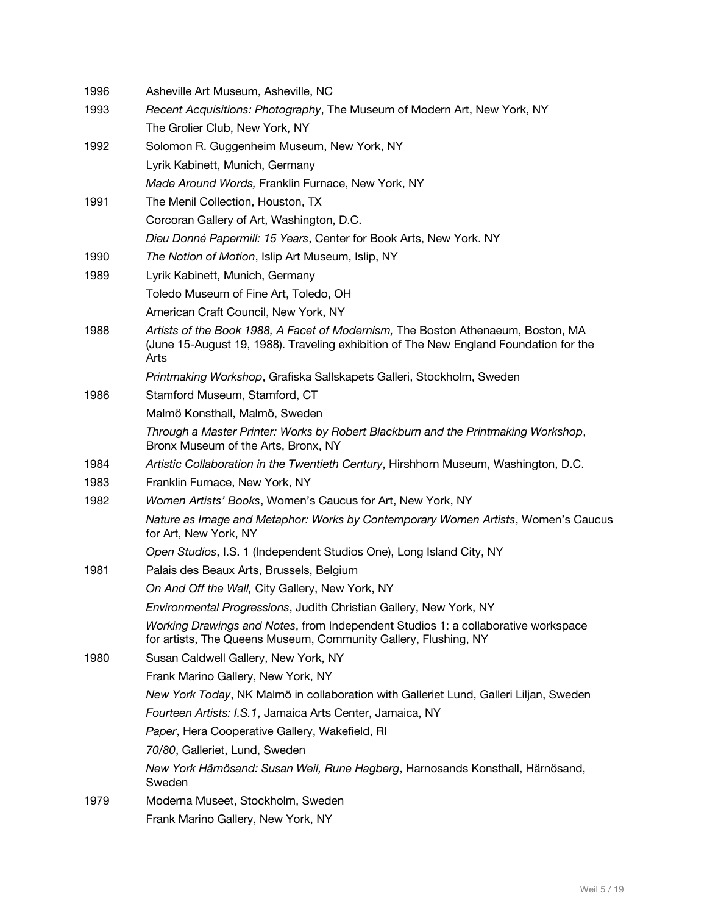| 1996 | Asheville Art Museum, Asheville, NC                                                                                                                                               |
|------|-----------------------------------------------------------------------------------------------------------------------------------------------------------------------------------|
| 1993 | Recent Acquisitions: Photography, The Museum of Modern Art, New York, NY                                                                                                          |
|      | The Grolier Club, New York, NY                                                                                                                                                    |
| 1992 | Solomon R. Guggenheim Museum, New York, NY                                                                                                                                        |
|      | Lyrik Kabinett, Munich, Germany                                                                                                                                                   |
|      | Made Around Words, Franklin Furnace, New York, NY                                                                                                                                 |
| 1991 | The Menil Collection, Houston, TX                                                                                                                                                 |
|      | Corcoran Gallery of Art, Washington, D.C.                                                                                                                                         |
|      | Dieu Donné Papermill: 15 Years, Center for Book Arts, New York. NY                                                                                                                |
| 1990 | The Notion of Motion, Islip Art Museum, Islip, NY                                                                                                                                 |
| 1989 | Lyrik Kabinett, Munich, Germany                                                                                                                                                   |
|      | Toledo Museum of Fine Art, Toledo, OH                                                                                                                                             |
|      | American Craft Council, New York, NY                                                                                                                                              |
| 1988 | Artists of the Book 1988, A Facet of Modernism, The Boston Athenaeum, Boston, MA<br>(June 15-August 19, 1988). Traveling exhibition of The New England Foundation for the<br>Arts |
|      | Printmaking Workshop, Grafiska Sallskapets Galleri, Stockholm, Sweden                                                                                                             |
| 1986 | Stamford Museum, Stamford, CT                                                                                                                                                     |
|      | Malmö Konsthall, Malmö, Sweden                                                                                                                                                    |
|      | Through a Master Printer: Works by Robert Blackburn and the Printmaking Workshop,<br>Bronx Museum of the Arts, Bronx, NY                                                          |
| 1984 | Artistic Collaboration in the Twentieth Century, Hirshhorn Museum, Washington, D.C.                                                                                               |
| 1983 | Franklin Furnace, New York, NY                                                                                                                                                    |
| 1982 | Women Artists' Books, Women's Caucus for Art, New York, NY                                                                                                                        |
|      | Nature as Image and Metaphor: Works by Contemporary Women Artists, Women's Caucus<br>for Art, New York, NY                                                                        |
|      | Open Studios, I.S. 1 (Independent Studios One), Long Island City, NY                                                                                                              |
| 1981 | Palais des Beaux Arts, Brussels, Belgium                                                                                                                                          |
|      | On And Off the Wall, City Gallery, New York, NY                                                                                                                                   |
|      | Environmental Progressions, Judith Christian Gallery, New York, NY                                                                                                                |
|      | Working Drawings and Notes, from Independent Studios 1: a collaborative workspace<br>for artists, The Queens Museum, Community Gallery, Flushing, NY                              |
| 1980 | Susan Caldwell Gallery, New York, NY                                                                                                                                              |
|      | Frank Marino Gallery, New York, NY                                                                                                                                                |
|      | New York Today, NK Malmö in collaboration with Galleriet Lund, Galleri Liljan, Sweden                                                                                             |
|      | Fourteen Artists: I.S.1, Jamaica Arts Center, Jamaica, NY                                                                                                                         |
|      | Paper, Hera Cooperative Gallery, Wakefield, RI                                                                                                                                    |
|      | 70/80, Galleriet, Lund, Sweden                                                                                                                                                    |
|      | New York Härnösand: Susan Weil, Rune Hagberg, Harnosands Konsthall, Härnösand,<br>Sweden                                                                                          |
| 1979 | Moderna Museet, Stockholm, Sweden                                                                                                                                                 |
|      | Frank Marino Gallery, New York, NY                                                                                                                                                |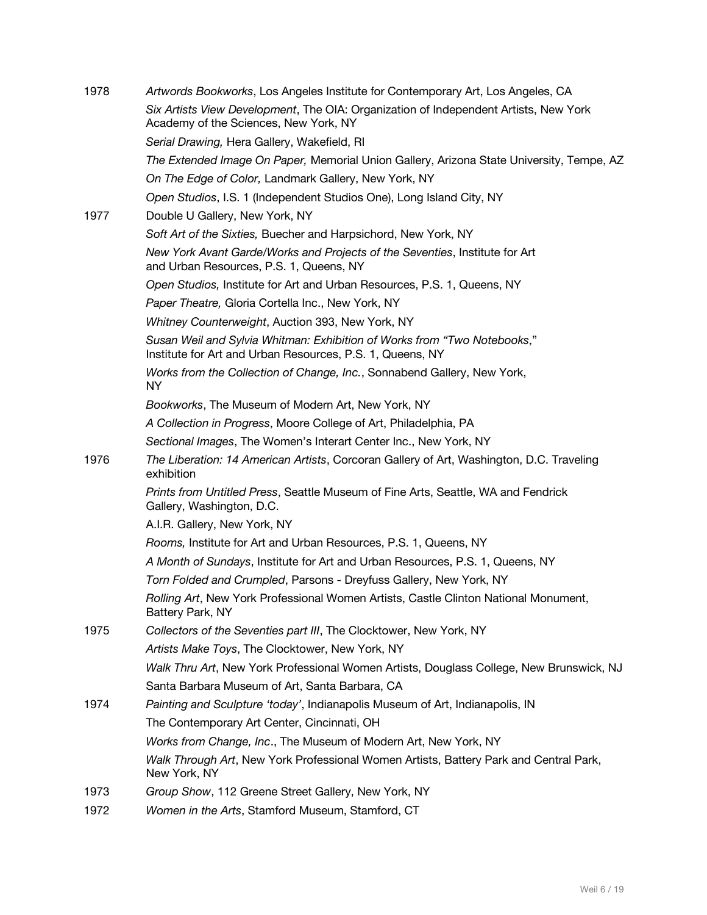| 1978 | Artwords Bookworks, Los Angeles Institute for Contemporary Art, Los Angeles, CA                                                       |
|------|---------------------------------------------------------------------------------------------------------------------------------------|
|      | Six Artists View Development, The OIA: Organization of Independent Artists, New York<br>Academy of the Sciences, New York, NY         |
|      | Serial Drawing, Hera Gallery, Wakefield, RI                                                                                           |
|      | The Extended Image On Paper, Memorial Union Gallery, Arizona State University, Tempe, AZ                                              |
|      | On The Edge of Color, Landmark Gallery, New York, NY                                                                                  |
|      | Open Studios, I.S. 1 (Independent Studios One), Long Island City, NY                                                                  |
| 1977 | Double U Gallery, New York, NY                                                                                                        |
|      | Soft Art of the Sixties, Buecher and Harpsichord, New York, NY                                                                        |
|      | New York Avant Garde/Works and Projects of the Seventies, Institute for Art<br>and Urban Resources, P.S. 1, Queens, NY                |
|      | Open Studios, Institute for Art and Urban Resources, P.S. 1, Queens, NY                                                               |
|      | Paper Theatre, Gloria Cortella Inc., New York, NY                                                                                     |
|      | Whitney Counterweight, Auction 393, New York, NY                                                                                      |
|      | Susan Weil and Sylvia Whitman: Exhibition of Works from "Two Notebooks,"<br>Institute for Art and Urban Resources, P.S. 1, Queens, NY |
|      | Works from the Collection of Change, Inc., Sonnabend Gallery, New York,<br><b>NY</b>                                                  |
|      | Bookworks, The Museum of Modern Art, New York, NY                                                                                     |
|      | A Collection in Progress, Moore College of Art, Philadelphia, PA                                                                      |
|      | Sectional Images, The Women's Interart Center Inc., New York, NY                                                                      |
| 1976 | The Liberation: 14 American Artists, Corcoran Gallery of Art, Washington, D.C. Traveling<br>exhibition                                |
|      | Prints from Untitled Press, Seattle Museum of Fine Arts, Seattle, WA and Fendrick<br>Gallery, Washington, D.C.                        |
|      | A.I.R. Gallery, New York, NY                                                                                                          |
|      | Rooms, Institute for Art and Urban Resources, P.S. 1, Queens, NY                                                                      |
|      | A Month of Sundays, Institute for Art and Urban Resources, P.S. 1, Queens, NY                                                         |
|      | Torn Folded and Crumpled, Parsons - Dreyfuss Gallery, New York, NY                                                                    |
|      | Rolling Art, New York Professional Women Artists, Castle Clinton National Monument,<br>Battery Park, NY                               |
| 1975 | Collectors of the Seventies part III, The Clocktower, New York, NY                                                                    |
|      | Artists Make Toys, The Clocktower, New York, NY                                                                                       |
|      | Walk Thru Art, New York Professional Women Artists, Douglass College, New Brunswick, NJ                                               |
|      | Santa Barbara Museum of Art, Santa Barbara, CA                                                                                        |
| 1974 | Painting and Sculpture 'today', Indianapolis Museum of Art, Indianapolis, IN                                                          |
|      | The Contemporary Art Center, Cincinnati, OH                                                                                           |
|      | Works from Change, Inc., The Museum of Modern Art, New York, NY                                                                       |
|      | Walk Through Art, New York Professional Women Artists, Battery Park and Central Park,<br>New York, NY                                 |
| 1973 | Group Show, 112 Greene Street Gallery, New York, NY                                                                                   |
| 1972 | Women in the Arts, Stamford Museum, Stamford, CT                                                                                      |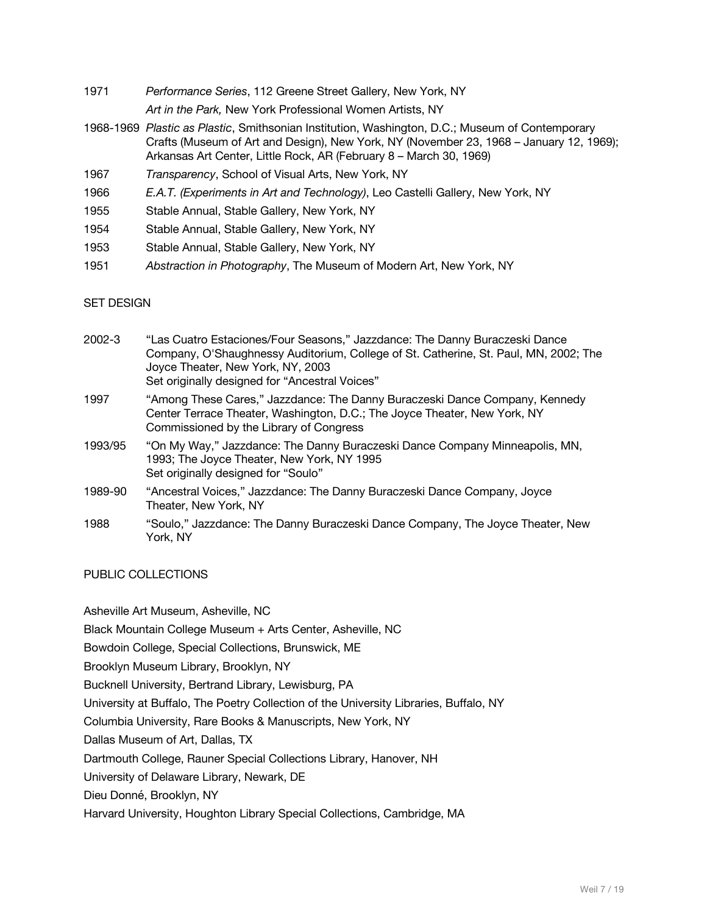1971 *Performance Series*, 112 Greene Street Gallery, New York, NY

*Art in the Park,* New York Professional Women Artists, NY

- 1968-1969 *Plastic as Plastic*, Smithsonian Institution, Washington, D.C.; Museum of Contemporary Crafts (Museum of Art and Design), New York, NY (November 23, 1968 – January 12, 1969); Arkansas Art Center, Little Rock, AR (February 8 – March 30, 1969)
- 1967 *Transparency*, School of Visual Arts, New York, NY
- 1966 *E.A.T. (Experiments in Art and Technology)*, Leo Castelli Gallery, New York, NY
- 1955 Stable Annual, Stable Gallery, New York, NY
- 1954 Stable Annual, Stable Gallery, New York, NY
- 1953 Stable Annual, Stable Gallery, New York, NY
- 1951 *Abstraction in Photography*, The Museum of Modern Art, New York, NY

#### SET DESIGN

| 2002-3  | "Las Cuatro Estaciones/Four Seasons," Jazzdance: The Danny Buraczeski Dance<br>Company, O'Shaughnessy Auditorium, College of St. Catherine, St. Paul, MN, 2002; The<br>Joyce Theater, New York, NY, 2003<br>Set originally designed for "Ancestral Voices" |
|---------|------------------------------------------------------------------------------------------------------------------------------------------------------------------------------------------------------------------------------------------------------------|
| 1997    | "Among These Cares," Jazzdance: The Danny Buraczeski Dance Company, Kennedy<br>Center Terrace Theater, Washington, D.C.; The Joyce Theater, New York, NY<br>Commissioned by the Library of Congress                                                        |
| 1993/95 | "On My Way," Jazzdance: The Danny Buraczeski Dance Company Minneapolis, MN,<br>1993; The Joyce Theater, New York, NY 1995<br>Set originally designed for "Soulo"                                                                                           |
| 1989-90 | "Ancestral Voices," Jazzdance: The Danny Buraczeski Dance Company, Joyce<br>Theater, New York, NY                                                                                                                                                          |
| 1988    | "Soulo," Jazzdance: The Danny Buraczeski Dance Company, The Joyce Theater, New<br>York. NY                                                                                                                                                                 |

PUBLIC COLLECTIONS

Asheville Art Museum, Asheville, NC

Black Mountain College Museum + Arts Center, Asheville, NC

Bowdoin College, Special Collections, Brunswick, ME

Brooklyn Museum Library, Brooklyn, NY

Bucknell University, Bertrand Library, Lewisburg, PA

University at Buffalo, The Poetry Collection of the University Libraries, Buffalo, NY

Columbia University, Rare Books & Manuscripts, New York, NY

Dallas Museum of Art, Dallas, TX

Dartmouth College, Rauner Special Collections Library, Hanover, NH

University of Delaware Library, Newark, DE

Dieu Donné, Brooklyn, NY

Harvard University, Houghton Library Special Collections, Cambridge, MA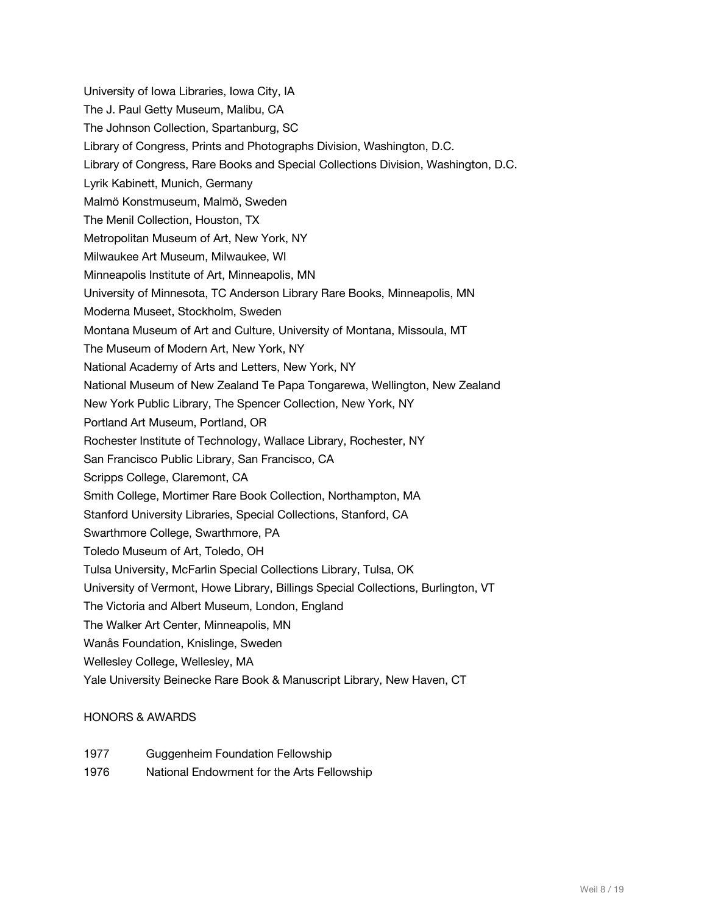University of Iowa Libraries, Iowa City, IA The J. Paul Getty Museum, Malibu, CA The Johnson Collection, Spartanburg, SC Library of Congress, Prints and Photographs Division, Washington, D.C. Library of Congress, Rare Books and Special Collections Division, Washington, D.C. Lyrik Kabinett, Munich, Germany Malmö Konstmuseum, Malmö, Sweden The Menil Collection, Houston, TX Metropolitan Museum of Art, New York, NY Milwaukee Art Museum, Milwaukee, WI Minneapolis Institute of Art, Minneapolis, MN University of Minnesota, TC Anderson Library Rare Books, Minneapolis, MN Moderna Museet, Stockholm, Sweden Montana Museum of Art and Culture, University of Montana, Missoula, MT The Museum of Modern Art, New York, NY National Academy of Arts and Letters, New York, NY National Museum of New Zealand Te Papa Tongarewa, Wellington, New Zealand New York Public Library, The Spencer Collection, New York, NY Portland Art Museum, Portland, OR Rochester Institute of Technology, Wallace Library, Rochester, NY San Francisco Public Library, San Francisco, CA Scripps College, Claremont, CA Smith College, Mortimer Rare Book Collection, Northampton, MA Stanford University Libraries, Special Collections, Stanford, CA Swarthmore College, Swarthmore, PA Toledo Museum of Art, Toledo, OH Tulsa University, McFarlin Special Collections Library, Tulsa, OK University of Vermont, Howe Library, Billings Special Collections, Burlington, VT The Victoria and Albert Museum, London, England The Walker Art Center, Minneapolis, MN Wanås Foundation, Knislinge, Sweden Wellesley College, Wellesley, MA Yale University Beinecke Rare Book & Manuscript Library, New Haven, CT

#### HONORS & AWARDS

- 1977 Guggenheim Foundation Fellowship
- 1976 National Endowment for the Arts Fellowship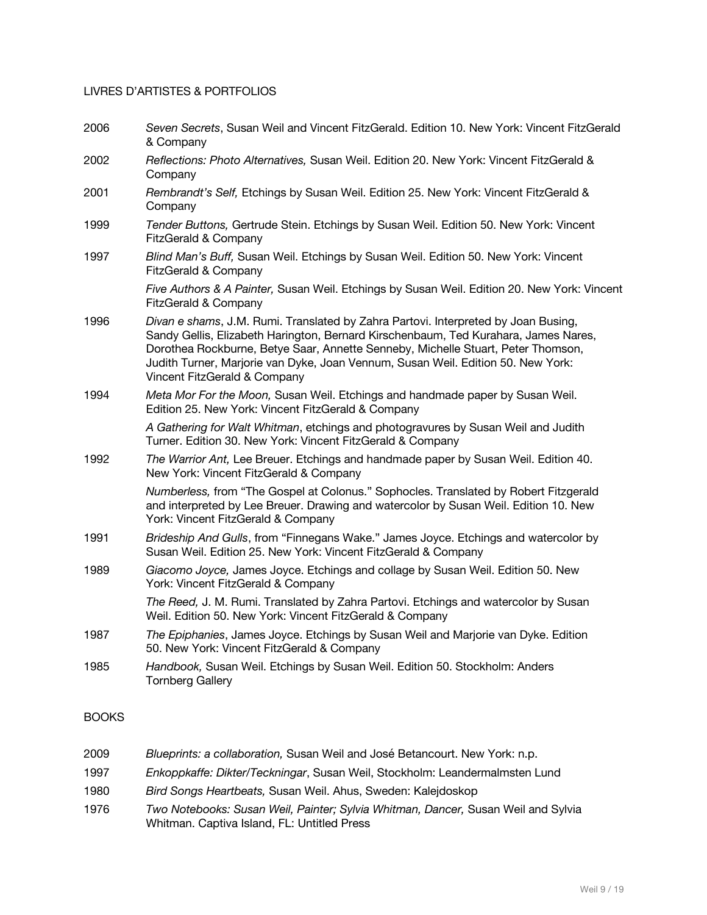#### LIVRES D'ARTISTES & PORTFOLIOS

- 2006 *Seven Secrets*, Susan Weil and Vincent FitzGerald. Edition 10. New York: Vincent FitzGerald & Company
- 2002 *Reflections: Photo Alternatives,* Susan Weil. Edition 20. New York: Vincent FitzGerald & Company
- 2001 *Rembrandt's Self,* Etchings by Susan Weil. Edition 25. New York: Vincent FitzGerald & Company
- 1999 *Tender Buttons,* Gertrude Stein. Etchings by Susan Weil. Edition 50. New York: Vincent FitzGerald & Company
- 1997 *Blind Man's Buff,* Susan Weil. Etchings by Susan Weil. Edition 50. New York: Vincent FitzGerald & Company

*Five Authors & A Painter,* Susan Weil. Etchings by Susan Weil. Edition 20. New York: Vincent FitzGerald & Company

- 1996 *Divan e shams*, J.M. Rumi. Translated by Zahra Partovi. Interpreted by Joan Busing, Sandy Gellis, Elizabeth Harington, Bernard Kirschenbaum, Ted Kurahara, James Nares, Dorothea Rockburne, Betye Saar, Annette Senneby, Michelle Stuart, Peter Thomson, Judith Turner, Marjorie van Dyke, Joan Vennum, Susan Weil. Edition 50. New York: Vincent FitzGerald & Company
- 1994 *Meta Mor For the Moon,* Susan Weil. Etchings and handmade paper by Susan Weil. Edition 25. New York: Vincent FitzGerald & Company

*A Gathering for Walt Whitman*, etchings and photogravures by Susan Weil and Judith Turner. Edition 30. New York: Vincent FitzGerald & Company

1992 *The Warrior Ant,* Lee Breuer. Etchings and handmade paper by Susan Weil. Edition 40. New York: Vincent FitzGerald & Company

> *Numberless,* from "The Gospel at Colonus." Sophocles. Translated by Robert Fitzgerald and interpreted by Lee Breuer. Drawing and watercolor by Susan Weil. Edition 10. New York: Vincent FitzGerald & Company

- 1991 *Brideship And Gulls*, from "Finnegans Wake." James Joyce. Etchings and watercolor by Susan Weil. Edition 25. New York: Vincent FitzGerald & Company
- 1989 *Giacomo Joyce,* James Joyce. Etchings and collage by Susan Weil. Edition 50. New York: Vincent FitzGerald & Company

*The Reed,* J. M. Rumi. Translated by Zahra Partovi. Etchings and watercolor by Susan Weil. Edition 50. New York: Vincent FitzGerald & Company

- 1987 *The Epiphanies*, James Joyce. Etchings by Susan Weil and Marjorie van Dyke. Edition 50. New York: Vincent FitzGerald & Company
- 1985 *Handbook,* Susan Weil. Etchings by Susan Weil. Edition 50. Stockholm: Anders Tornberg Gallery

### **BOOKS**

 *Blueprints: a collaboration,* Susan Weil and José Betancourt. New York: n.p. *Enkoppkaffe: Dikter/Teckningar*, Susan Weil, Stockholm: Leandermalmsten Lund *Bird Songs Heartbeats,* Susan Weil. Ahus, Sweden: Kalejdoskop *Two Notebooks: Susan Weil, Painter; Sylvia Whitman, Dancer,* Susan Weil and Sylvia Whitman. Captiva Island, FL: Untitled Press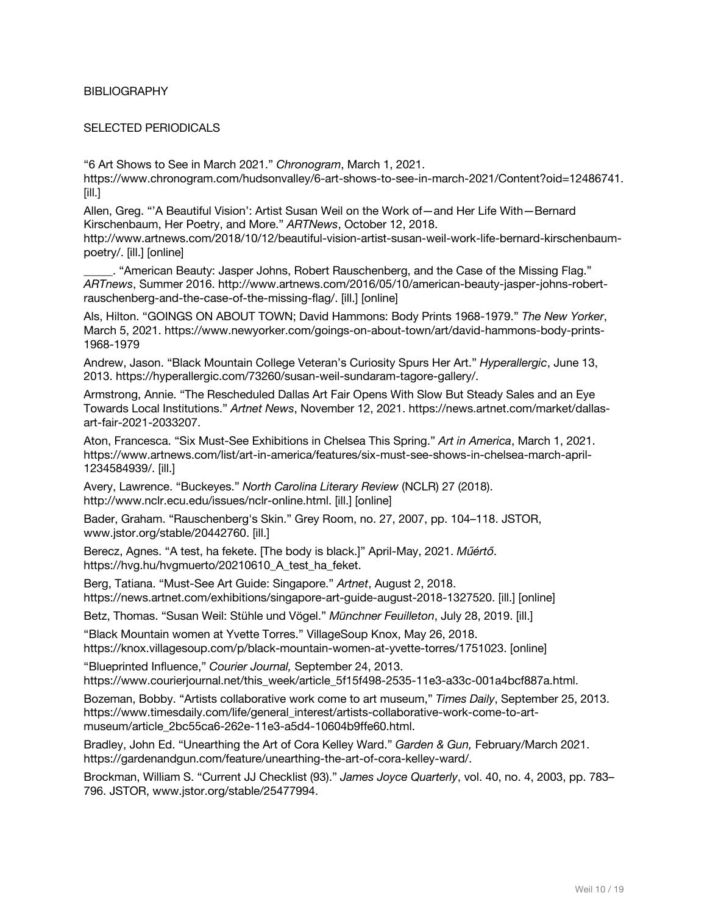#### **BIBLIOGRAPHY**

#### SELECTED PERIODICALS

"6 Art Shows to See in March 2021." *Chronogram*, March 1, 2021.

https://www.chronogram.com/hudsonvalley/6-art-shows-to-see-in-march-2021/Content?oid=12486741. [ill.]

Allen, Greg. "'A Beautiful Vision': Artist Susan Weil on the Work of—and Her Life With—Bernard Kirschenbaum, Her Poetry, and More." *ARTNews*, October 12, 2018.

http://www.artnews.com/2018/10/12/beautiful-vision-artist-susan-weil-work-life-bernard-kirschenbaumpoetry/. [ill.] [online]

\_\_\_\_\_. "American Beauty: Jasper Johns, Robert Rauschenberg, and the Case of the Missing Flag." *ARTnews*, Summer 2016. http://www.artnews.com/2016/05/10/american-beauty-jasper-johns-robertrauschenberg-and-the-case-of-the-missing-flag/. [ill.] [online]

Als, Hilton. "GOINGS ON ABOUT TOWN; David Hammons: Body Prints 1968-1979." *The New Yorker*, March 5, 2021. https://www.newyorker.com/goings-on-about-town/art/david-hammons-body-prints-1968-1979

Andrew, Jason. "Black Mountain College Veteran's Curiosity Spurs Her Art." *Hyperallergic*, June 13, 2013. https://hyperallergic.com/73260/susan-weil-sundaram-tagore-gallery/.

Armstrong, Annie. "The Rescheduled Dallas Art Fair Opens With Slow But Steady Sales and an Eye Towards Local Institutions." *Artnet News*, November 12, 2021. https://news.artnet.com/market/dallasart-fair-2021-2033207.

Aton, Francesca. "Six Must-See Exhibitions in Chelsea This Spring." *Art in America*, March 1, 2021. https://www.artnews.com/list/art-in-america/features/six-must-see-shows-in-chelsea-march-april-1234584939/. [ill.]

Avery, Lawrence. "Buckeyes." *North Carolina Literary Review* (NCLR) 27 (2018). http://www.nclr.ecu.edu/issues/nclr-online.html. [ill.] [online]

Bader, Graham. "Rauschenberg's Skin." Grey Room, no. 27, 2007, pp. 104–118. JSTOR, www.jstor.org/stable/20442760. [ill.]

Berecz, Agnes. "A test, ha fekete. [The body is black.]" April-May, 2021. *Műértő*. https://hvg.hu/hvgmuerto/20210610\_A\_test\_ha\_feket.

Berg, Tatiana. "Must-See Art Guide: Singapore." *Artnet*, August 2, 2018. https://news.artnet.com/exhibitions/singapore-art-guide-august-2018-1327520. [ill.] [online]

Betz, Thomas. "Susan Weil: Stühle und Vögel." *Münchner Feuilleton*, July 28, 2019. [ill.]

"Black Mountain women at Yvette Torres." VillageSoup Knox, May 26, 2018. https://knox.villagesoup.com/p/black-mountain-women-at-yvette-torres/1751023. [online]

"Blueprinted Influence," *Courier Journal,* September 24, 2013. https://www.courierjournal.net/this\_week/article\_5f15f498-2535-11e3-a33c-001a4bcf887a.html.

Bozeman, Bobby. "Artists collaborative work come to art museum," *Times Daily*, September 25, 2013. https://www.timesdaily.com/life/general\_interest/artists-collaborative-work-come-to-artmuseum/article\_2bc55ca6-262e-11e3-a5d4-10604b9ffe60.html.

Bradley, John Ed. "Unearthing the Art of Cora Kelley Ward." *Garden & Gun,* February/March 2021. https://gardenandgun.com/feature/unearthing-the-art-of-cora-kelley-ward/.

Brockman, William S. "Current JJ Checklist (93)." *James Joyce Quarterly*, vol. 40, no. 4, 2003, pp. 783– 796. JSTOR, www.jstor.org/stable/25477994.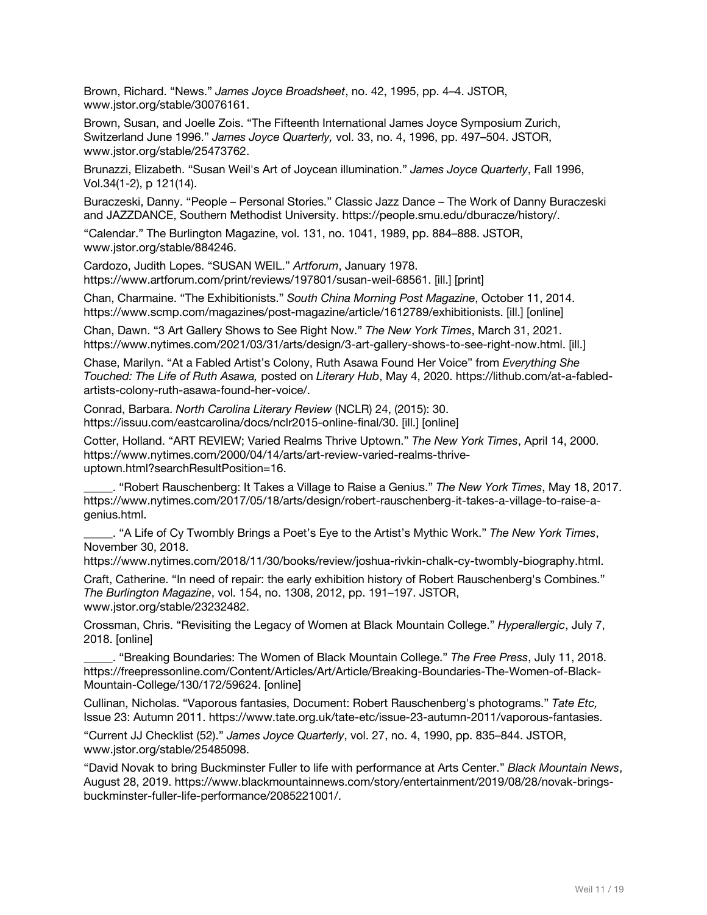Brown, Richard. "News." *James Joyce Broadsheet*, no. 42, 1995, pp. 4–4. JSTOR, www.jstor.org/stable/30076161.

Brown, Susan, and Joelle Zois. "The Fifteenth International James Joyce Symposium Zurich, Switzerland June 1996." *James Joyce Quarterly,* vol. 33, no. 4, 1996, pp. 497–504. JSTOR, www.jstor.org/stable/25473762.

Brunazzi, Elizabeth. "Susan Weil's Art of Joycean illumination." *James Joyce Quarterly*, Fall 1996, Vol.34(1-2), p 121(14).

Buraczeski, Danny. "People – Personal Stories." Classic Jazz Dance – The Work of Danny Buraczeski and JAZZDANCE, Southern Methodist University. https://people.smu.edu/dburacze/history/.

"Calendar." The Burlington Magazine, vol. 131, no. 1041, 1989, pp. 884–888. JSTOR, www.jstor.org/stable/884246.

Cardozo, Judith Lopes. "SUSAN WEIL." *Artforum*, January 1978. https://www.artforum.com/print/reviews/197801/susan-weil-68561. [ill.] [print]

Chan, Charmaine. "The Exhibitionists." *South China Morning Post Magazine*, October 11, 2014. https://www.scmp.com/magazines/post-magazine/article/1612789/exhibitionists. [ill.] [online]

Chan, Dawn. "3 Art Gallery Shows to See Right Now." *The New York Times*, March 31, 2021. https://www.nytimes.com/2021/03/31/arts/design/3-art-gallery-shows-to-see-right-now.html. [ill.]

Chase, Marilyn. "At a Fabled Artist's Colony, Ruth Asawa Found Her Voice" from *Everything She Touched: The Life of Ruth Asawa,* posted on *Literary Hub*, May 4, 2020. https://lithub.com/at-a-fabledartists-colony-ruth-asawa-found-her-voice/.

Conrad, Barbara. *North Carolina Literary Review* (NCLR) 24, (2015): 30. https://issuu.com/eastcarolina/docs/nclr2015-online-final/30. [ill.] [online]

Cotter, Holland. "ART REVIEW; Varied Realms Thrive Uptown." *The New York Times*, April 14, 2000. https://www.nytimes.com/2000/04/14/arts/art-review-varied-realms-thriveuptown.html?searchResultPosition=16.

\_\_\_\_\_. "Robert Rauschenberg: It Takes a Village to Raise a Genius." *The New York Times*, May 18, 2017. https://www.nytimes.com/2017/05/18/arts/design/robert-rauschenberg-it-takes-a-village-to-raise-agenius.html.

\_\_\_\_\_. "A Life of Cy Twombly Brings a Poet's Eye to the Artist's Mythic Work." *The New York Times*, November 30, 2018.

https://www.nytimes.com/2018/11/30/books/review/joshua-rivkin-chalk-cy-twombly-biography.html.

Craft, Catherine. "In need of repair: the early exhibition history of Robert Rauschenberg's Combines." *The Burlington Magazine*, vol. 154, no. 1308, 2012, pp. 191–197. JSTOR, www.jstor.org/stable/23232482.

Crossman, Chris. "Revisiting the Legacy of Women at Black Mountain College." *Hyperallergic*, July 7, 2018. [online]

\_\_\_\_\_. "Breaking Boundaries: The Women of Black Mountain College." *The Free Press*, July 11, 2018. https://freepressonline.com/Content/Articles/Art/Article/Breaking-Boundaries-The-Women-of-Black-Mountain-College/130/172/59624. [online]

Cullinan, Nicholas. "Vaporous fantasies, Document: Robert Rauschenberg's photograms." *Tate Etc,* Issue 23: Autumn 2011. https://www.tate.org.uk/tate-etc/issue-23-autumn-2011/vaporous-fantasies.

"Current JJ Checklist (52)." *James Joyce Quarterly*, vol. 27, no. 4, 1990, pp. 835–844. JSTOR, www.jstor.org/stable/25485098.

"David Novak to bring Buckminster Fuller to life with performance at Arts Center." *Black Mountain News*, August 28, 2019. https://www.blackmountainnews.com/story/entertainment/2019/08/28/novak-bringsbuckminster-fuller-life-performance/2085221001/.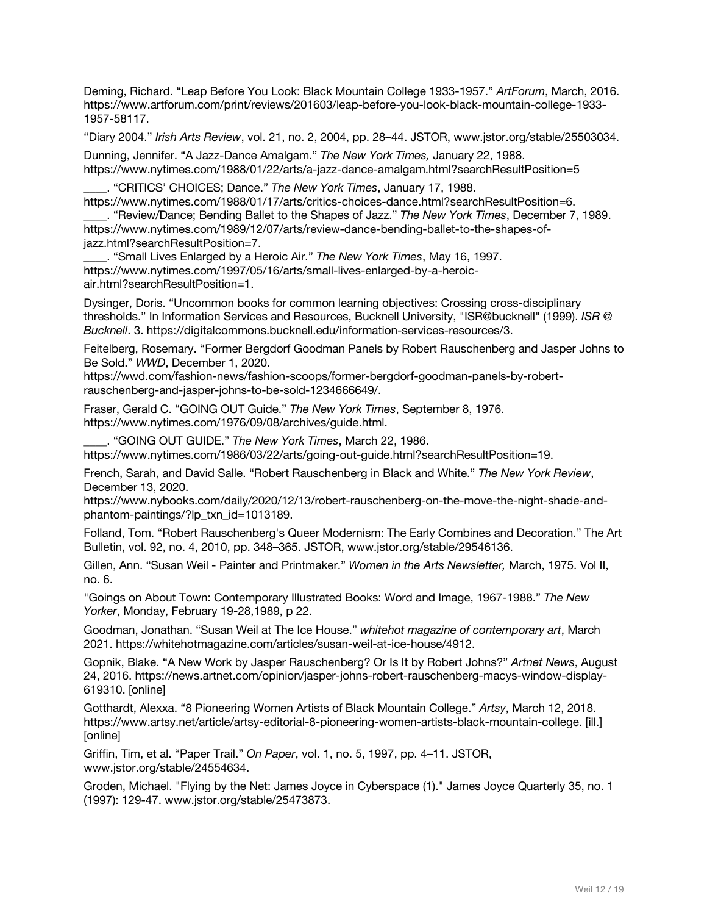Deming, Richard. "Leap Before You Look: Black Mountain College 1933-1957." *ArtForum*, March, 2016. https://www.artforum.com/print/reviews/201603/leap-before-you-look-black-mountain-college-1933- 1957-58117.

"Diary 2004." *Irish Arts Review*, vol. 21, no. 2, 2004, pp. 28–44. JSTOR, www.jstor.org/stable/25503034.

Dunning, Jennifer. "A Jazz-Dance Amalgam." *The New York Times,* January 22, 1988. https://www.nytimes.com/1988/01/22/arts/a-jazz-dance-amalgam.html?searchResultPosition=5

\_\_\_\_. "CRITICS' CHOICES; Dance." *The New York Times*, January 17, 1988. https://www.nytimes.com/1988/01/17/arts/critics-choices-dance.html?searchResultPosition=6.

\_\_\_\_. "Review/Dance; Bending Ballet to the Shapes of Jazz." *The New York Times*, December 7, 1989. https://www.nytimes.com/1989/12/07/arts/review-dance-bending-ballet-to-the-shapes-ofjazz.html?searchResultPosition=7.

\_\_\_\_. "Small Lives Enlarged by a Heroic Air." *The New York Times*, May 16, 1997. https://www.nytimes.com/1997/05/16/arts/small-lives-enlarged-by-a-heroicair.html?searchResultPosition=1.

Dysinger, Doris. "Uncommon books for common learning objectives: Crossing cross-disciplinary thresholds." In Information Services and Resources, Bucknell University, "ISR@bucknell" (1999). *ISR @ Bucknell*. 3. https://digitalcommons.bucknell.edu/information-services-resources/3.

Feitelberg, Rosemary. "Former Bergdorf Goodman Panels by Robert Rauschenberg and Jasper Johns to Be Sold." *WWD*, December 1, 2020.

https://wwd.com/fashion-news/fashion-scoops/former-bergdorf-goodman-panels-by-robertrauschenberg-and-jasper-johns-to-be-sold-1234666649/.

Fraser, Gerald C. "GOING OUT Guide." *The New York Times*, September 8, 1976. https://www.nytimes.com/1976/09/08/archives/guide.html.

\_\_\_\_. "GOING OUT GUIDE." *The New York Times*, March 22, 1986. https://www.nytimes.com/1986/03/22/arts/going-out-guide.html?searchResultPosition=19.

French, Sarah, and David Salle. "Robert Rauschenberg in Black and White." *The New York Review*, December 13, 2020.

https://www.nybooks.com/daily/2020/12/13/robert-rauschenberg-on-the-move-the-night-shade-andphantom-paintings/?lp\_txn\_id=1013189.

Folland, Tom. "Robert Rauschenberg's Queer Modernism: The Early Combines and Decoration." The Art Bulletin, vol. 92, no. 4, 2010, pp. 348–365. JSTOR, www.jstor.org/stable/29546136.

Gillen, Ann. "Susan Weil - Painter and Printmaker." *Women in the Arts Newsletter,* March, 1975. Vol II, no. 6.

"Goings on About Town: Contemporary Illustrated Books: Word and Image, 1967-1988." *The New Yorker*, Monday, February 19-28,1989, p 22.

Goodman, Jonathan. "Susan Weil at The Ice House." *whitehot magazine of contemporary art*, March 2021. https://whitehotmagazine.com/articles/susan-weil-at-ice-house/4912.

Gopnik, Blake. "A New Work by Jasper Rauschenberg? Or Is It by Robert Johns?" *Artnet News*, August 24, 2016. https://news.artnet.com/opinion/jasper-johns-robert-rauschenberg-macys-window-display-619310. [online]

Gotthardt, Alexxa. "8 Pioneering Women Artists of Black Mountain College." *Artsy*, March 12, 2018. https://www.artsy.net/article/artsy-editorial-8-pioneering-women-artists-black-mountain-college. [ill.] [online]

Griffin, Tim, et al. "Paper Trail." *On Paper*, vol. 1, no. 5, 1997, pp. 4–11. JSTOR, www.jstor.org/stable/24554634.

Groden, Michael. "Flying by the Net: James Joyce in Cyberspace (1)." James Joyce Quarterly 35, no. 1 (1997): 129-47. www.jstor.org/stable/25473873.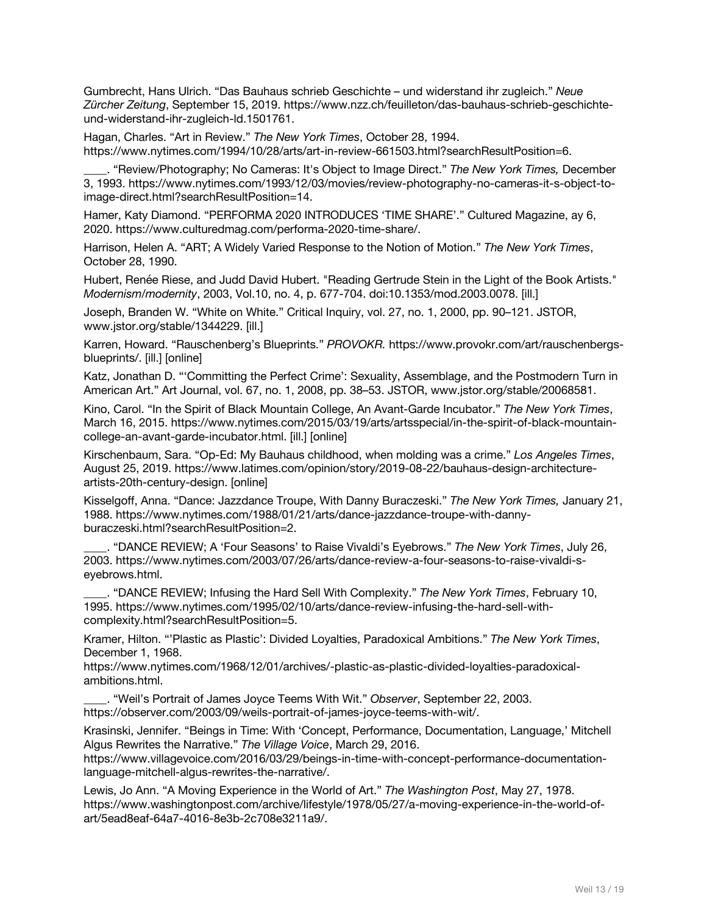Gumbrecht, Hans Ulrich. "Das Bauhaus schrieb Geschichte – und widerstand ihr zugleich." *Neue Zürcher Zeitung*, September 15, 2019. https://www.nzz.ch/feuilleton/das-bauhaus-schrieb-geschichteund-widerstand-ihr-zugleich-ld.1501761.

Hagan, Charles. "Art in Review." *The New York Times*, October 28, 1994. https://www.nytimes.com/1994/10/28/arts/art-in-review-661503.html?searchResultPosition=6.

\_\_\_\_. "Review/Photography; No Cameras: It's Object to Image Direct." *The New York Times,* December 3, 1993. https://www.nytimes.com/1993/12/03/movies/review-photography-no-cameras-it-s-object-toimage-direct.html?searchResultPosition=14.

Hamer, Katy Diamond. "PERFORMA 2020 INTRODUCES 'TIME SHARE'." Cultured Magazine, ay 6, 2020. https://www.culturedmag.com/performa-2020-time-share/.

Harrison, Helen A. "ART; A Widely Varied Response to the Notion of Motion." *The New York Times*, October 28, 1990.

Hubert, Renée Riese, and Judd David Hubert. "Reading Gertrude Stein in the Light of the Book Artists." *Modernism/modernity*, 2003, Vol.10, no. 4, p. 677-704. doi:10.1353/mod.2003.0078. [ill.]

Joseph, Branden W. "White on White." Critical Inquiry, vol. 27, no. 1, 2000, pp. 90–121. JSTOR, www.jstor.org/stable/1344229. [ill.]

Karren, Howard. "Rauschenberg's Blueprints." *PROVOKR.* https://www.provokr.com/art/rauschenbergsblueprints/. [ill.] [online]

Katz, Jonathan D. "'Committing the Perfect Crime': Sexuality, Assemblage, and the Postmodern Turn in American Art." Art Journal, vol. 67, no. 1, 2008, pp. 38–53. JSTOR, www.jstor.org/stable/20068581.

Kino, Carol. "In the Spirit of Black Mountain College, An Avant-Garde Incubator." *The New York Times*, March 16, 2015. https://www.nytimes.com/2015/03/19/arts/artsspecial/in-the-spirit-of-black-mountaincollege-an-avant-garde-incubator.html. [ill.] [online]

Kirschenbaum, Sara. "Op-Ed: My Bauhaus childhood, when molding was a crime." *Los Angeles Times*, August 25, 2019. https://www.latimes.com/opinion/story/2019-08-22/bauhaus-design-architectureartists-20th-century-design. [online]

Kisselgoff, Anna. "Dance: Jazzdance Troupe, With Danny Buraczeski." *The New York Times,* January 21, 1988. https://www.nytimes.com/1988/01/21/arts/dance-jazzdance-troupe-with-dannyburaczeski.html?searchResultPosition=2.

\_\_\_\_. "DANCE REVIEW; A 'Four Seasons' to Raise Vivaldi's Eyebrows." *The New York Times*, July 26, 2003. https://www.nytimes.com/2003/07/26/arts/dance-review-a-four-seasons-to-raise-vivaldi-seyebrows.html.

\_\_\_\_. "DANCE REVIEW; Infusing the Hard Sell With Complexity." *The New York Times*, February 10, 1995. https://www.nytimes.com/1995/02/10/arts/dance-review-infusing-the-hard-sell-withcomplexity.html?searchResultPosition=5.

Kramer, Hilton. "'Plastic as Plastic': Divided Loyalties, Paradoxical Ambitions." *The New York Times*, December 1, 1968.

https://www.nytimes.com/1968/12/01/archives/-plastic-as-plastic-divided-loyalties-paradoxicalambitions.html.

\_\_\_\_. "Weil's Portrait of James Joyce Teems With Wit." *Observer*, September 22, 2003. https://observer.com/2003/09/weils-portrait-of-james-joyce-teems-with-wit/.

Krasinski, Jennifer. "Beings in Time: With 'Concept, Performance, Documentation, Language,' Mitchell Algus Rewrites the Narrative." *The Village Voice*, March 29, 2016.

https://www.villagevoice.com/2016/03/29/beings-in-time-with-concept-performance-documentationlanguage-mitchell-algus-rewrites-the-narrative/.

Lewis, Jo Ann. "A Moving Experience in the World of Art." *The Washington Post*, May 27, 1978. https://www.washingtonpost.com/archive/lifestyle/1978/05/27/a-moving-experience-in-the-world-ofart/5ead8eaf-64a7-4016-8e3b-2c708e3211a9/.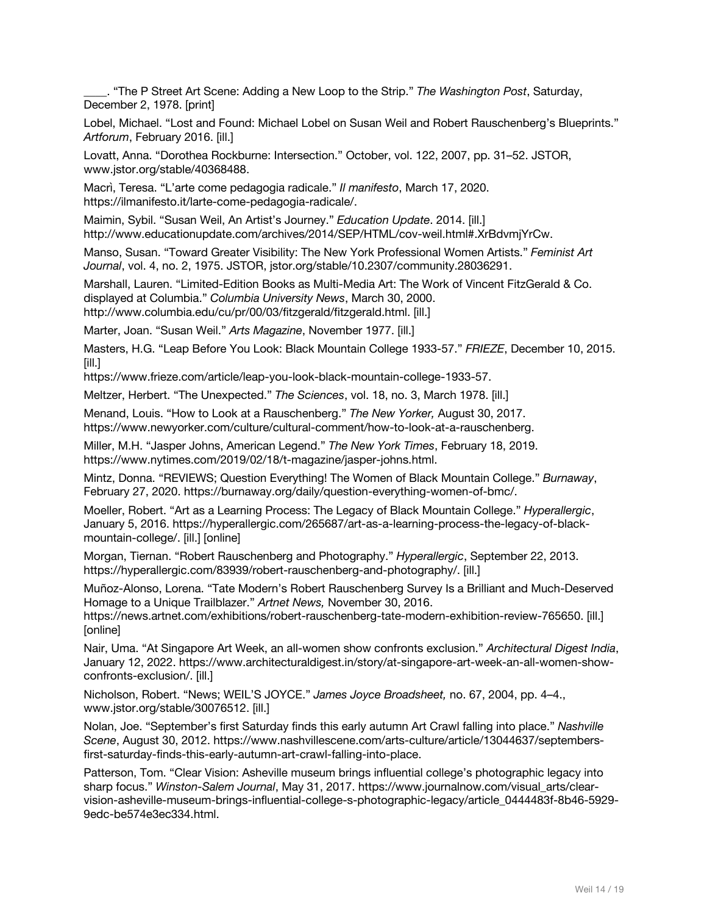\_\_\_\_. "The P Street Art Scene: Adding a New Loop to the Strip." *The Washington Post*, Saturday, December 2, 1978. [print]

Lobel, Michael. "Lost and Found: Michael Lobel on Susan Weil and Robert Rauschenberg's Blueprints." *Artforum*, February 2016. [ill.]

Lovatt, Anna. "Dorothea Rockburne: Intersection." October, vol. 122, 2007, pp. 31–52. JSTOR, www.jstor.org/stable/40368488.

Macrì, Teresa. "L'arte come pedagogia radicale." *Il manifesto*, March 17, 2020. https://ilmanifesto.it/larte-come-pedagogia-radicale/.

Maimin, Sybil. "Susan Weil, An Artist's Journey." *Education Update*. 2014. [ill.] http://www.educationupdate.com/archives/2014/SEP/HTML/cov-weil.html#.XrBdvmjYrCw.

Manso, Susan. "Toward Greater Visibility: The New York Professional Women Artists." *Feminist Art Journal*, vol. 4, no. 2, 1975. JSTOR, jstor.org/stable/10.2307/community.28036291.

Marshall, Lauren. "Limited-Edition Books as Multi-Media Art: The Work of Vincent FitzGerald & Co. displayed at Columbia." *Columbia University News*, March 30, 2000. http://www.columbia.edu/cu/pr/00/03/fitzgerald/fitzgerald.html. [ill.]

Marter, Joan. "Susan Weil." *Arts Magazine*, November 1977. [ill.]

Masters, H.G. "Leap Before You Look: Black Mountain College 1933-57." *FRIEZE*, December 10, 2015. [ill.]

https://www.frieze.com/article/leap-you-look-black-mountain-college-1933-57.

Meltzer, Herbert. "The Unexpected." *The Sciences*, vol. 18, no. 3, March 1978. [ill.]

Menand, Louis. "How to Look at a Rauschenberg." *The New Yorker,* August 30, 2017. https://www.newyorker.com/culture/cultural-comment/how-to-look-at-a-rauschenberg.

Miller, M.H. "Jasper Johns, American Legend." *The New York Times*, February 18, 2019. https://www.nytimes.com/2019/02/18/t-magazine/jasper-johns.html.

Mintz, Donna. "REVIEWS; Question Everything! The Women of Black Mountain College." *Burnaway*, February 27, 2020. https://burnaway.org/daily/question-everything-women-of-bmc/.

Moeller, Robert. "Art as a Learning Process: The Legacy of Black Mountain College." *Hyperallergic*, January 5, 2016. https://hyperallergic.com/265687/art-as-a-learning-process-the-legacy-of-blackmountain-college/. [ill.] [online]

Morgan, Tiernan. "Robert Rauschenberg and Photography." *Hyperallergic*, September 22, 2013. https://hyperallergic.com/83939/robert-rauschenberg-and-photography/. [ill.]

Muñoz-Alonso, Lorena. "Tate Modern's Robert Rauschenberg Survey Is a Brilliant and Much-Deserved Homage to a Unique Trailblazer." *Artnet News,* November 30, 2016.

https://news.artnet.com/exhibitions/robert-rauschenberg-tate-modern-exhibition-review-765650. [ill.] [online]

Nair, Uma. "At Singapore Art Week, an all-women show confronts exclusion." *Architectural Digest India*, January 12, 2022. https://www.architecturaldigest.in/story/at-singapore-art-week-an-all-women-showconfronts-exclusion/. [ill.]

Nicholson, Robert. "News; WEIL'S JOYCE." *James Joyce Broadsheet,* no. 67, 2004, pp. 4–4., www.jstor.org/stable/30076512. [ill.]

Nolan, Joe. "September's first Saturday finds this early autumn Art Crawl falling into place." *Nashville Scene*, August 30, 2012. https://www.nashvillescene.com/arts-culture/article/13044637/septembersfirst-saturday-finds-this-early-autumn-art-crawl-falling-into-place.

Patterson, Tom. "Clear Vision: Asheville museum brings influential college's photographic legacy into sharp focus." *Winston-Salem Journal*, May 31, 2017. https://www.journalnow.com/visual\_arts/clearvision-asheville-museum-brings-influential-college-s-photographic-legacy/article\_0444483f-8b46-5929- 9edc-be574e3ec334.html.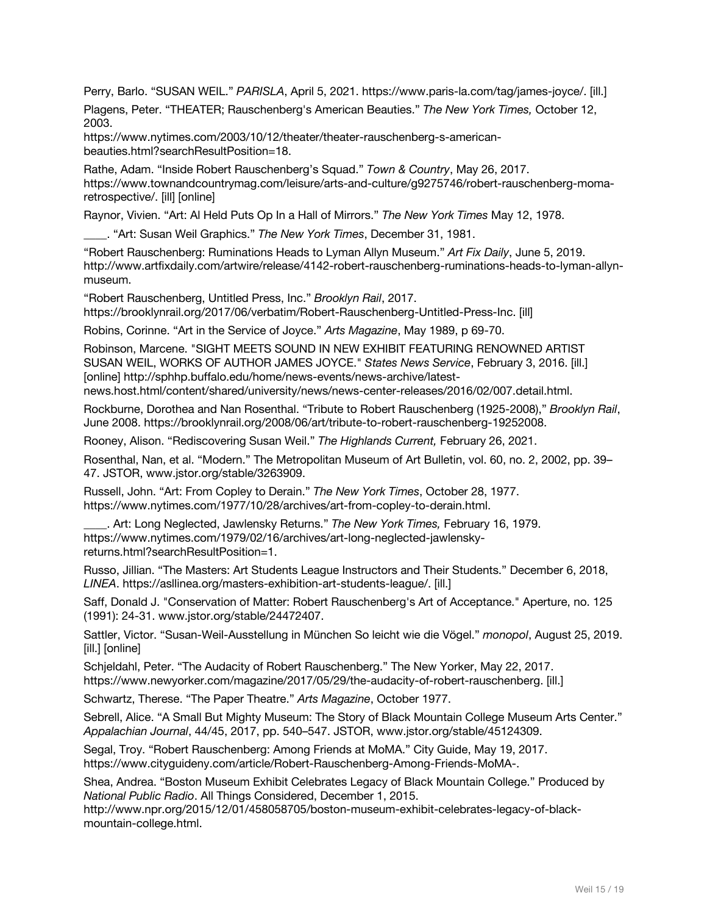Perry, Barlo. "SUSAN WEIL." *PARISLA*, April 5, 2021. https://www.paris-la.com/tag/james-joyce/. [ill.]

Plagens, Peter. "THEATER; Rauschenberg's American Beauties." *The New York Times,* October 12, 2003.

https://www.nytimes.com/2003/10/12/theater/theater-rauschenberg-s-americanbeauties.html?searchResultPosition=18.

Rathe, Adam. "Inside Robert Rauschenberg's Squad." *Town & Country*, May 26, 2017. https://www.townandcountrymag.com/leisure/arts-and-culture/g9275746/robert-rauschenberg-momaretrospective/. [ill] [online]

Raynor, Vivien. "Art: Al Held Puts Op In a Hall of Mirrors." *The New York Times* May 12, 1978.

\_\_\_\_. "Art: Susan Weil Graphics." *The New York Times*, December 31, 1981.

"Robert Rauschenberg: Ruminations Heads to Lyman Allyn Museum." *Art Fix Daily*, June 5, 2019. http://www.artfixdaily.com/artwire/release/4142-robert-rauschenberg-ruminations-heads-to-lyman-allynmuseum.

"Robert Rauschenberg, Untitled Press, Inc." *Brooklyn Rail*, 2017. https://brooklynrail.org/2017/06/verbatim/Robert-Rauschenberg-Untitled-Press-Inc. [ill]

Robins, Corinne. "Art in the Service of Joyce." *Arts Magazine*, May 1989, p 69-70.

Robinson, Marcene. "SIGHT MEETS SOUND IN NEW EXHIBIT FEATURING RENOWNED ARTIST SUSAN WEIL, WORKS OF AUTHOR JAMES JOYCE." *States News Service*, February 3, 2016. [ill.] [online] http://sphhp.buffalo.edu/home/news-events/news-archive/latestnews.host.html/content/shared/university/news/news-center-releases/2016/02/007.detail.html.

Rockburne, Dorothea and Nan Rosenthal. "Tribute to Robert Rauschenberg (1925-2008)," *Brooklyn Rail*, June 2008. https://brooklynrail.org/2008/06/art/tribute-to-robert-rauschenberg-19252008.

Rooney, Alison. "Rediscovering Susan Weil." *The Highlands Current,* February 26, 2021.

Rosenthal, Nan, et al. "Modern." The Metropolitan Museum of Art Bulletin, vol. 60, no. 2, 2002, pp. 39– 47. JSTOR, www.jstor.org/stable/3263909.

Russell, John. "Art: From Copley to Derain." *The New York Times*, October 28, 1977. https://www.nytimes.com/1977/10/28/archives/art-from-copley-to-derain.html.

\_\_\_\_. Art: Long Neglected, Jawlensky Returns." *The New York Times,* February 16, 1979. https://www.nytimes.com/1979/02/16/archives/art-long-neglected-jawlenskyreturns.html?searchResultPosition=1.

Russo, Jillian. "The Masters: Art Students League Instructors and Their Students." December 6, 2018, *LINEA*. https://asllinea.org/masters-exhibition-art-students-league/. [ill.]

Saff, Donald J. "Conservation of Matter: Robert Rauschenberg's Art of Acceptance." Aperture, no. 125 (1991): 24-31. www.jstor.org/stable/24472407.

Sattler, Victor. "Susan-Weil-Ausstellung in München So leicht wie die Vögel." *monopol*, August 25, 2019. [ill.] [online]

Schjeldahl, Peter. "The Audacity of Robert Rauschenberg." The New Yorker, May 22, 2017. https://www.newyorker.com/magazine/2017/05/29/the-audacity-of-robert-rauschenberg. [ill.]

Schwartz, Therese. "The Paper Theatre." *Arts Magazine*, October 1977.

Sebrell, Alice. "A Small But Mighty Museum: The Story of Black Mountain College Museum Arts Center." *Appalachian Journal*, 44/45, 2017, pp. 540–547. JSTOR, www.jstor.org/stable/45124309.

Segal, Troy. "Robert Rauschenberg: Among Friends at MoMA." City Guide, May 19, 2017. https://www.cityguideny.com/article/Robert-Rauschenberg-Among-Friends-MoMA-.

Shea, Andrea. "Boston Museum Exhibit Celebrates Legacy of Black Mountain College." Produced by *National Public Radio*. All Things Considered, December 1, 2015.

http://www.npr.org/2015/12/01/458058705/boston-museum-exhibit-celebrates-legacy-of-blackmountain-college.html.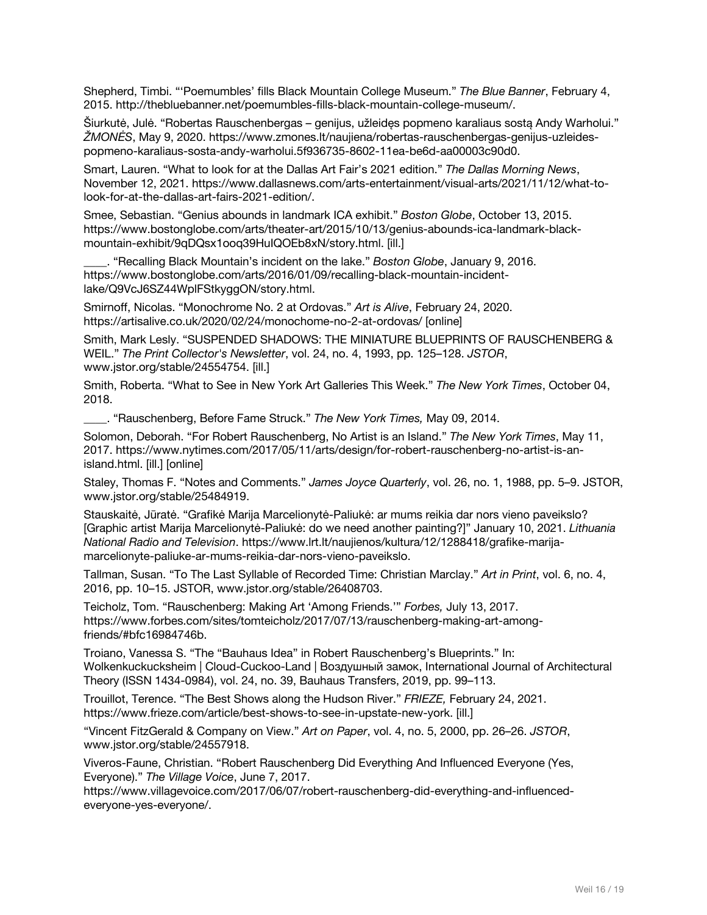Shepherd, Timbi. "'Poemumbles' fills Black Mountain College Museum." *The Blue Banner*, February 4, 2015. http://thebluebanner.net/poemumbles-fills-black-mountain-college-museum/.

Šiurkutė, Julė. "Robertas Rauschenbergas – genijus, užleidęs popmeno karaliaus sostą Andy Warholui." *ŽMONĖS*, May 9, 2020. https://www.zmones.lt/naujiena/robertas-rauschenbergas-genijus-uzleidespopmeno-karaliaus-sosta-andy-warholui.5f936735-8602-11ea-be6d-aa00003c90d0.

Smart, Lauren. "What to look for at the Dallas Art Fair's 2021 edition." *The Dallas Morning News*, November 12, 2021. https://www.dallasnews.com/arts-entertainment/visual-arts/2021/11/12/what-tolook-for-at-the-dallas-art-fairs-2021-edition/.

Smee, Sebastian. "Genius abounds in landmark ICA exhibit." *Boston Globe*, October 13, 2015. https://www.bostonglobe.com/arts/theater-art/2015/10/13/genius-abounds-ica-landmark-blackmountain-exhibit/9qDQsx1ooq39HuIQOEb8xN/story.html. [ill.]

\_\_\_\_. "Recalling Black Mountain's incident on the lake." *Boston Globe*, January 9, 2016. https://www.bostonglobe.com/arts/2016/01/09/recalling-black-mountain-incidentlake/Q9VcJ6SZ44WplFStkyggON/story.html.

Smirnoff, Nicolas. "Monochrome No. 2 at Ordovas." *Art is Alive*, February 24, 2020. https://artisalive.co.uk/2020/02/24/monochome-no-2-at-ordovas/ [online]

Smith, Mark Lesly. "SUSPENDED SHADOWS: THE MINIATURE BLUEPRINTS OF RAUSCHENBERG & WEIL." *The Print Collector's Newsletter*, vol. 24, no. 4, 1993, pp. 125–128. *JSTOR*, www.jstor.org/stable/24554754. [ill.]

Smith, Roberta. "What to See in New York Art Galleries This Week." *The New York Times*, October 04, 2018.

\_\_\_\_. "Rauschenberg, Before Fame Struck." *The New York Times,* May 09, 2014.

Solomon, Deborah. "For Robert Rauschenberg, No Artist is an Island." *The New York Times*, May 11, 2017. https://www.nytimes.com/2017/05/11/arts/design/for-robert-rauschenberg-no-artist-is-anisland.html. [ill.] [online]

Staley, Thomas F. "Notes and Comments." *James Joyce Quarterly*, vol. 26, no. 1, 1988, pp. 5–9. JSTOR, www.jstor.org/stable/25484919.

Stauskaitė, Jūratė. "Grafikė Marija Marcelionytė-Paliukė: ar mums reikia dar nors vieno paveikslo? [Graphic artist Marija Marcelionytė-Paliukė: do we need another painting?]" January 10, 2021. *Lithuania National Radio and Television*. https://www.lrt.lt/naujienos/kultura/12/1288418/grafike-marijamarcelionyte-paliuke-ar-mums-reikia-dar-nors-vieno-paveikslo.

Tallman, Susan. "To The Last Syllable of Recorded Time: Christian Marclay." *Art in Print*, vol. 6, no. 4, 2016, pp. 10–15. JSTOR, www.jstor.org/stable/26408703.

Teicholz, Tom. "Rauschenberg: Making Art 'Among Friends.'" *Forbes,* July 13, 2017. https://www.forbes.com/sites/tomteicholz/2017/07/13/rauschenberg-making-art-amongfriends/#bfc16984746b.

Troiano, Vanessa S. "The "Bauhaus Idea" in Robert Rauschenberg's Blueprints." In: Wolkenkuckucksheim | Cloud-Cuckoo-Land | Воздушный замок, International Journal of Architectural Theory (ISSN 1434-0984), vol. 24, no. 39, Bauhaus Transfers, 2019, pp. 99–113.

Trouillot, Terence. "The Best Shows along the Hudson River." *FRIEZE,* February 24, 2021. https://www.frieze.com/article/best-shows-to-see-in-upstate-new-york. [ill.]

"Vincent FitzGerald & Company on View." *Art on Paper*, vol. 4, no. 5, 2000, pp. 26–26. *JSTOR*, www.jstor.org/stable/24557918.

Viveros-Faune, Christian. "Robert Rauschenberg Did Everything And Influenced Everyone (Yes, Everyone)." *The Village Voice*, June 7, 2017.

https://www.villagevoice.com/2017/06/07/robert-rauschenberg-did-everything-and-influencedeveryone-yes-everyone/.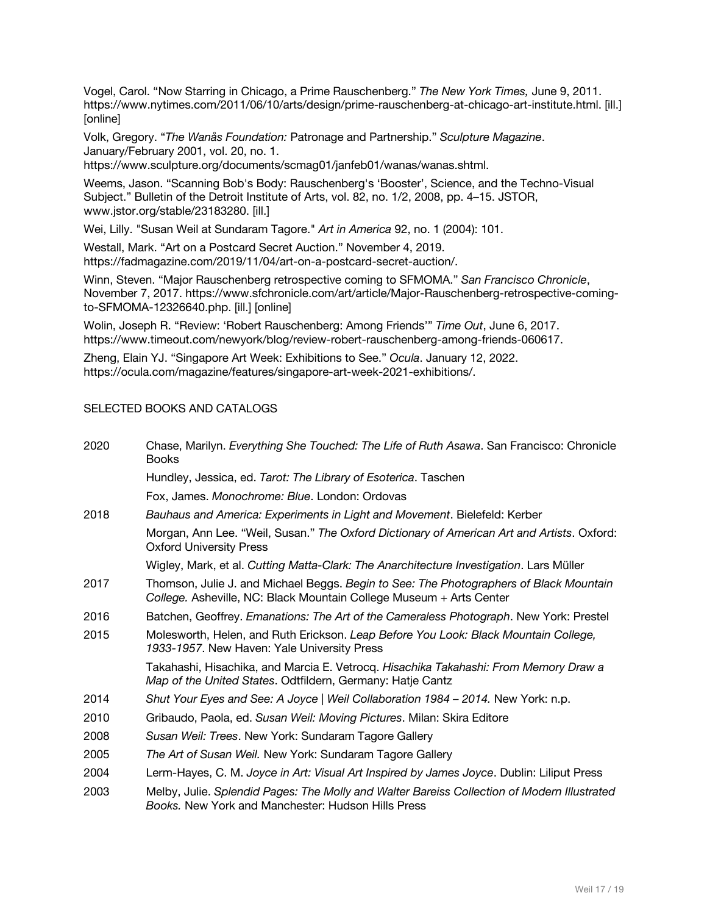Vogel, Carol. "Now Starring in Chicago, a Prime Rauschenberg." *The New York Times,* June 9, 2011. https://www.nytimes.com/2011/06/10/arts/design/prime-rauschenberg-at-chicago-art-institute.html. [ill.] [online]

Volk, Gregory. "*The Wanås Foundation:* Patronage and Partnership." *Sculpture Magazine*. January/February 2001, vol. 20, no. 1.

https://www.sculpture.org/documents/scmag01/janfeb01/wanas/wanas.shtml.

Weems, Jason. "Scanning Bob's Body: Rauschenberg's 'Booster', Science, and the Techno-Visual Subject." Bulletin of the Detroit Institute of Arts, vol. 82, no. 1/2, 2008, pp. 4–15. JSTOR, www.jstor.org/stable/23183280. [ill.]

Wei, Lilly. "Susan Weil at Sundaram Tagore." *Art in America* 92, no. 1 (2004): 101.

Westall, Mark. "Art on a Postcard Secret Auction." November 4, 2019. https://fadmagazine.com/2019/11/04/art-on-a-postcard-secret-auction/.

Winn, Steven. "Major Rauschenberg retrospective coming to SFMOMA." *San Francisco Chronicle*, November 7, 2017. https://www.sfchronicle.com/art/article/Major-Rauschenberg-retrospective-comingto-SFMOMA-12326640.php. [ill.] [online]

Wolin, Joseph R. "Review: 'Robert Rauschenberg: Among Friends'" *Time Out*, June 6, 2017. https://www.timeout.com/newyork/blog/review-robert-rauschenberg-among-friends-060617.

Zheng, Elain YJ. "Singapore Art Week: Exhibitions to See." *Ocula*. January 12, 2022. https://ocula.com/magazine/features/singapore-art-week-2021-exhibitions/.

#### SELECTED BOOKS AND CATALOGS

| 2020 | Chase, Marilyn. Everything She Touched: The Life of Ruth Asawa. San Francisco: Chronicle<br><b>Books</b>                                                      |
|------|---------------------------------------------------------------------------------------------------------------------------------------------------------------|
|      | Hundley, Jessica, ed. Tarot: The Library of Esoterica. Taschen                                                                                                |
|      | Fox. James. Monochrome: Blue. London: Ordovas                                                                                                                 |
| 2018 | Bauhaus and America: Experiments in Light and Movement. Bielefeld: Kerber                                                                                     |
|      | Morgan, Ann Lee. "Weil, Susan." The Oxford Dictionary of American Art and Artists. Oxford:<br><b>Oxford University Press</b>                                  |
|      | Wigley, Mark, et al. Cutting Matta-Clark: The Anarchitecture Investigation. Lars Müller                                                                       |
| 2017 | Thomson, Julie J. and Michael Beggs. Begin to See: The Photographers of Black Mountain<br>College. Asheville, NC: Black Mountain College Museum + Arts Center |
| 2016 | Batchen, Geoffrey. Emanations: The Art of the Cameraless Photograph. New York: Prestel                                                                        |
| 2015 | Molesworth, Helen, and Ruth Erickson. Leap Before You Look: Black Mountain College,<br>1933-1957. New Haven: Yale University Press                            |
|      | Takahashi, Hisachika, and Marcia E. Vetrocq. Hisachika Takahashi: From Memory Draw a<br>Map of the United States. Odtfildern, Germany: Hatje Cantz            |
| 2014 | Shut Your Eyes and See: A Joyce   Weil Collaboration 1984 - 2014. New York: n.p.                                                                              |
| 2010 | Gribaudo, Paola, ed. Susan Weil: Moving Pictures. Milan: Skira Editore                                                                                        |
| 2008 | Susan Weil: Trees. New York: Sundaram Tagore Gallery                                                                                                          |
| 2005 | The Art of Susan Weil. New York: Sundaram Tagore Gallery                                                                                                      |
| 2004 | Lerm-Hayes, C. M. Joyce in Art: Visual Art Inspired by James Joyce. Dublin: Liliput Press                                                                     |
| 2003 | Melby, Julie. Splendid Pages: The Molly and Walter Bareiss Collection of Modern Illustrated<br>Books. New York and Manchester: Hudson Hills Press             |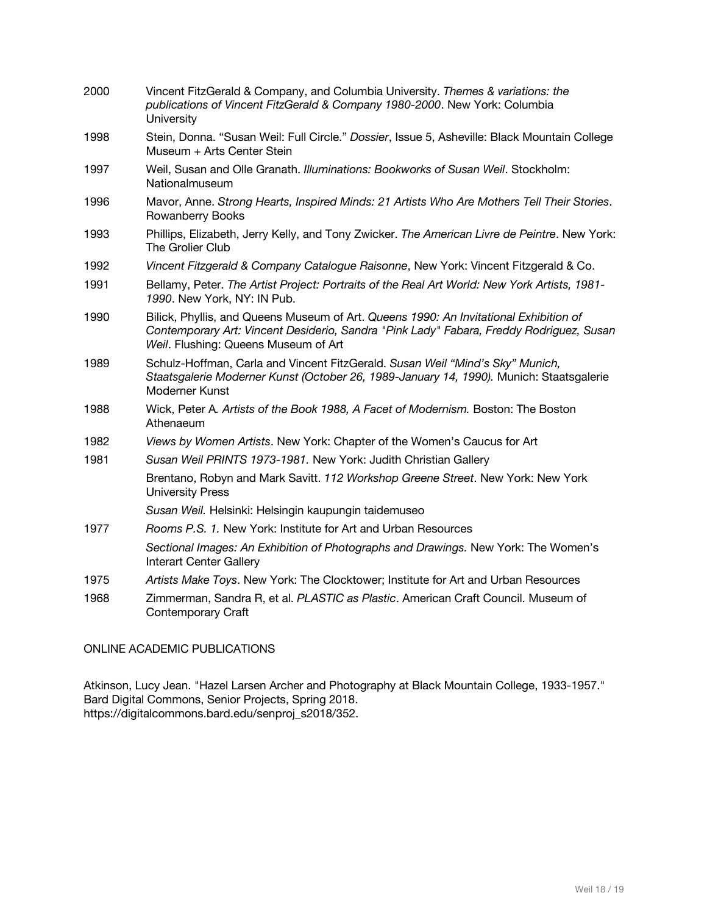| 2000 | Vincent FitzGerald & Company, and Columbia University. Themes & variations: the<br>publications of Vincent FitzGerald & Company 1980-2000. New York: Columbia<br>University                                              |
|------|--------------------------------------------------------------------------------------------------------------------------------------------------------------------------------------------------------------------------|
| 1998 | Stein, Donna. "Susan Weil: Full Circle." Dossier, Issue 5, Asheville: Black Mountain College<br>Museum + Arts Center Stein                                                                                               |
| 1997 | Weil, Susan and Olle Granath. Illuminations: Bookworks of Susan Weil. Stockholm:<br>Nationalmuseum                                                                                                                       |
| 1996 | Mavor, Anne. Strong Hearts, Inspired Minds: 21 Artists Who Are Mothers Tell Their Stories.<br>Rowanberry Books                                                                                                           |
| 1993 | Phillips, Elizabeth, Jerry Kelly, and Tony Zwicker. The American Livre de Peintre. New York:<br>The Grolier Club                                                                                                         |
| 1992 | Vincent Fitzgerald & Company Catalogue Raisonne, New York: Vincent Fitzgerald & Co.                                                                                                                                      |
| 1991 | Bellamy, Peter. The Artist Project: Portraits of the Real Art World: New York Artists, 1981-<br>1990. New York, NY: IN Pub.                                                                                              |
| 1990 | Bilick, Phyllis, and Queens Museum of Art. Queens 1990: An Invitational Exhibition of<br>Contemporary Art: Vincent Desiderio, Sandra "Pink Lady" Fabara, Freddy Rodriguez, Susan<br>Weil. Flushing: Queens Museum of Art |
| 1989 | Schulz-Hoffman, Carla and Vincent FitzGerald. Susan Weil "Mind's Sky" Munich,<br>Staatsgalerie Moderner Kunst (October 26, 1989-January 14, 1990). Munich: Staatsgalerie<br>Moderner Kunst                               |
| 1988 | Wick, Peter A. Artists of the Book 1988, A Facet of Modernism. Boston: The Boston<br>Athenaeum                                                                                                                           |
| 1982 | Views by Women Artists. New York: Chapter of the Women's Caucus for Art                                                                                                                                                  |
| 1981 | Susan Weil PRINTS 1973-1981. New York: Judith Christian Gallery                                                                                                                                                          |
|      | Brentano, Robyn and Mark Savitt. 112 Workshop Greene Street. New York: New York<br><b>University Press</b>                                                                                                               |
|      | Susan Weil. Helsinki: Helsingin kaupungin taidemuseo                                                                                                                                                                     |
| 1977 | Rooms P.S. 1. New York: Institute for Art and Urban Resources                                                                                                                                                            |
|      | Sectional Images: An Exhibition of Photographs and Drawings. New York: The Women's<br><b>Interart Center Gallery</b>                                                                                                     |
| 1975 | Artists Make Toys. New York: The Clocktower; Institute for Art and Urban Resources                                                                                                                                       |
| 1968 | Zimmerman, Sandra R, et al. PLASTIC as Plastic. American Craft Council. Museum of<br>Contemporary Craft                                                                                                                  |

## ONLINE ACADEMIC PUBLICATIONS

Atkinson, Lucy Jean. "Hazel Larsen Archer and Photography at Black Mountain College, 1933-1957." Bard Digital Commons, Senior Projects, Spring 2018. https://digitalcommons.bard.edu/senproj\_s2018/352.